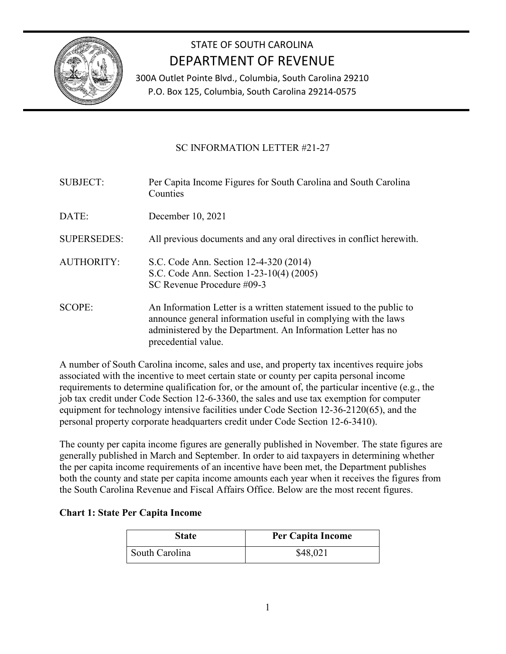

## STATE OF SOUTH CAROLINA DEPARTMENT OF REVENUE

300A Outlet Pointe Blvd., Columbia, South Carolina 29210 P.O. Box 125, Columbia, South Carolina 29214-0575

## SC INFORMATION LETTER #21-27

| <b>SUBJECT:</b>    | Per Capita Income Figures for South Carolina and South Carolina<br>Counties                                                                                                                                                   |
|--------------------|-------------------------------------------------------------------------------------------------------------------------------------------------------------------------------------------------------------------------------|
| DATE:              | December 10, 2021                                                                                                                                                                                                             |
| <b>SUPERSEDES:</b> | All previous documents and any oral directives in conflict herewith.                                                                                                                                                          |
| <b>AUTHORITY:</b>  | S.C. Code Ann. Section 12-4-320 (2014)<br>S.C. Code Ann. Section 1-23-10(4) (2005)<br>SC Revenue Procedure #09-3                                                                                                              |
| <b>SCOPE:</b>      | An Information Letter is a written statement issued to the public to<br>announce general information useful in complying with the laws<br>administered by the Department. An Information Letter has no<br>precedential value. |

A number of South Carolina income, sales and use, and property tax incentives require jobs associated with the incentive to meet certain state or county per capita personal income requirements to determine qualification for, or the amount of, the particular incentive (e.g., the job tax credit under Code Section 12-6-3360, the sales and use tax exemption for computer equipment for technology intensive facilities under Code Section 12-36-2120(65), and the personal property corporate headquarters credit under Code Section 12-6-3410).

The county per capita income figures are generally published in November. The state figures are generally published in March and September. In order to aid taxpayers in determining whether the per capita income requirements of an incentive have been met, the Department publishes both the county and state per capita income amounts each year when it receives the figures from the South Carolina Revenue and Fiscal Affairs Office. Below are the most recent figures.

## **Chart 1: State Per Capita Income**

| <b>State</b>   | <b>Per Capita Income</b> |
|----------------|--------------------------|
| South Carolina | \$48,021                 |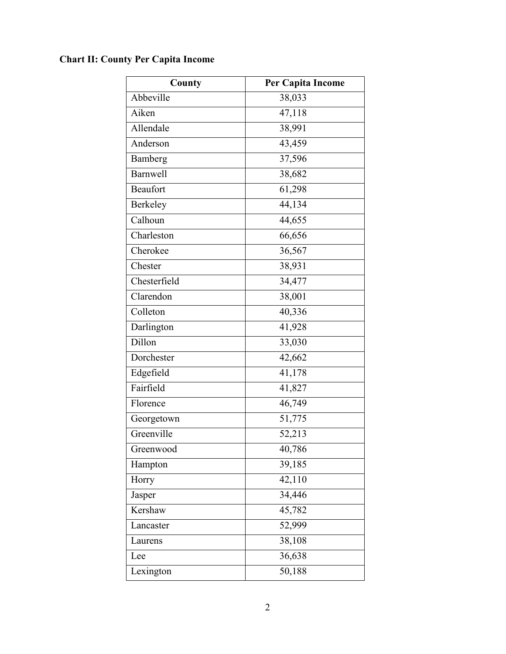## **Chart II: County Per Capita Income**

| County          | Per Capita Income   |
|-----------------|---------------------|
| Abbeville       | 38,033              |
| Aiken           | 47,118              |
| Allendale       | 38,991              |
| Anderson        | 43,459              |
| Bamberg         | 37,596              |
| <b>Barnwell</b> | 38,682              |
| <b>Beaufort</b> | 61,298              |
| Berkeley        | $\overline{44,}134$ |
| Calhoun         | 44,655              |
| Charleston      | 66,656              |
| Cherokee        | 36,567              |
| Chester         | 38,931              |
| Chesterfield    | 34,477              |
| Clarendon       | 38,001              |
| Colleton        | 40,336              |
| Darlington      | 41,928              |
| Dillon          | 33,030              |
| Dorchester      | 42,662              |
| Edgefield       | 41,178              |
| Fairfield       | 41,827              |
| Florence        | 46,749              |
| Georgetown      | 51,775              |
| Greenville      | 52,213              |
| Greenwood       | 40,786              |
| Hampton         | 39,185              |
| Horry           | 42,110              |
| Jasper          | 34,446              |
| Kershaw         | 45,782              |
| Lancaster       | 52,999              |
| Laurens         | 38,108              |
| Lee             | 36,638              |
| Lexington       | 50,188              |